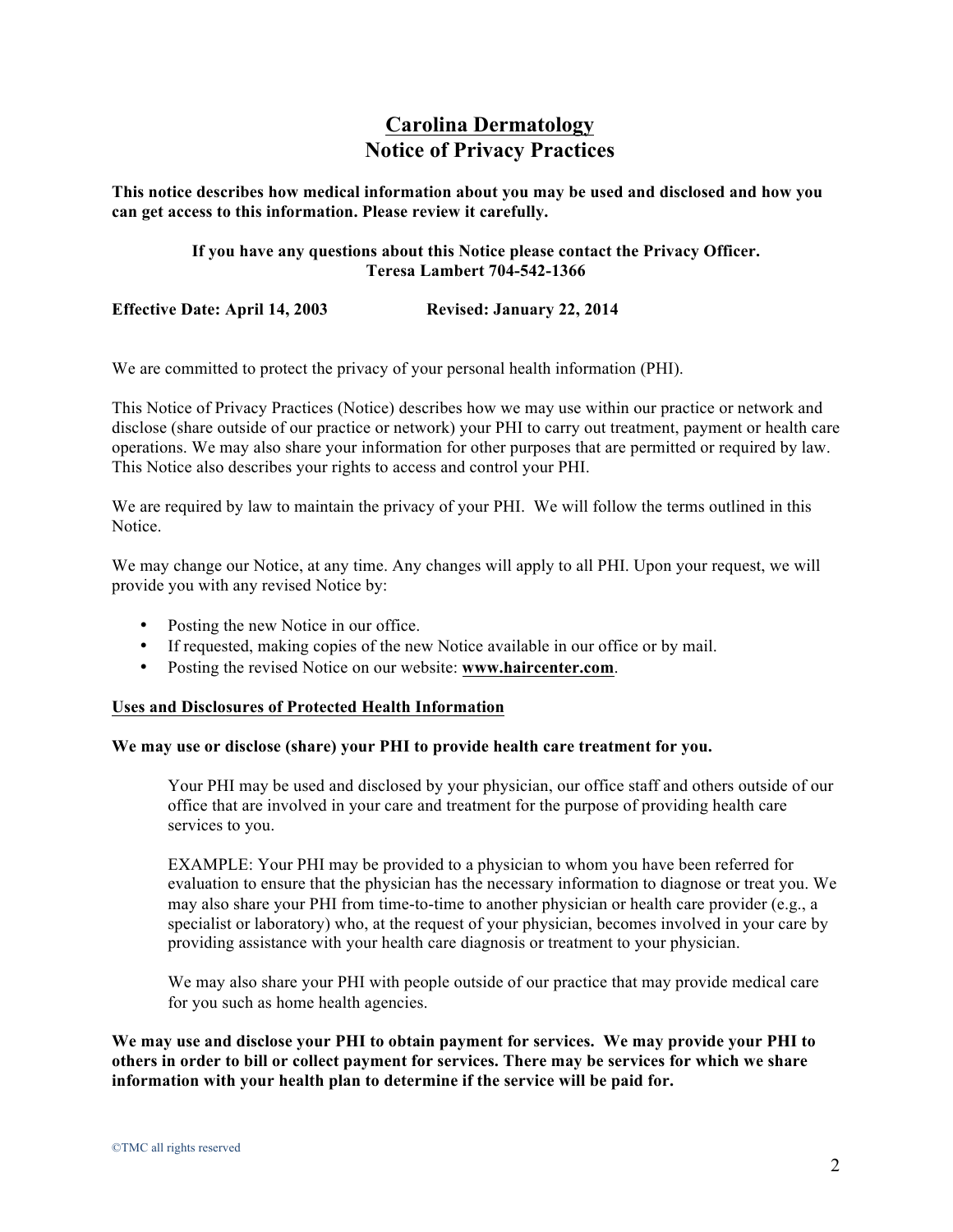# **Carolina Dermatology Notice of Privacy Practices**

**This notice describes how medical information about you may be used and disclosed and how you can get access to this information. Please review it carefully.** 

# **If you have any questions about this Notice please contact the Privacy Officer. Teresa Lambert 704-542-1366**

**Effective Date: April 14, 2003 Revised: January 22, 2014**

We are committed to protect the privacy of your personal health information (PHI).

This Notice of Privacy Practices (Notice) describes how we may use within our practice or network and disclose (share outside of our practice or network) your PHI to carry out treatment, payment or health care operations. We may also share your information for other purposes that are permitted or required by law. This Notice also describes your rights to access and control your PHI.

We are required by law to maintain the privacy of your PHI. We will follow the terms outlined in this Notice.

We may change our Notice, at any time. Any changes will apply to all PHI. Upon your request, we will provide you with any revised Notice by:

- Posting the new Notice in our office.
- If requested, making copies of the new Notice available in our office or by mail.
- Posting the revised Notice on our website: **www.haircenter.com**.

### **Uses and Disclosures of Protected Health Information**

## **We may use or disclose (share) your PHI to provide health care treatment for you.**

Your PHI may be used and disclosed by your physician, our office staff and others outside of our office that are involved in your care and treatment for the purpose of providing health care services to you.

EXAMPLE: Your PHI may be provided to a physician to whom you have been referred for evaluation to ensure that the physician has the necessary information to diagnose or treat you. We may also share your PHI from time-to-time to another physician or health care provider (e.g., a specialist or laboratory) who, at the request of your physician, becomes involved in your care by providing assistance with your health care diagnosis or treatment to your physician.

We may also share your PHI with people outside of our practice that may provide medical care for you such as home health agencies.

**We may use and disclose your PHI to obtain payment for services. We may provide your PHI to others in order to bill or collect payment for services. There may be services for which we share information with your health plan to determine if the service will be paid for.**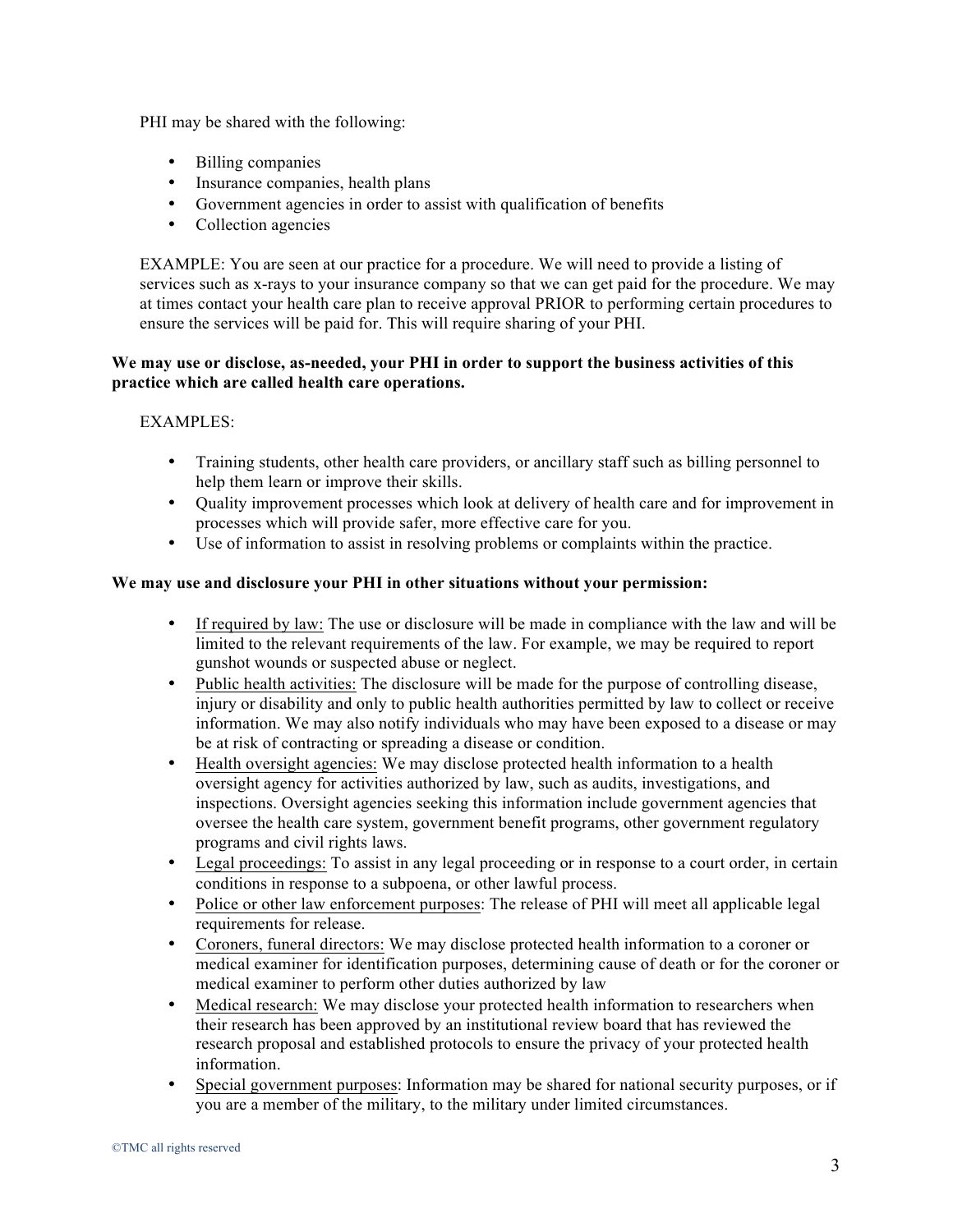PHI may be shared with the following:

- Billing companies
- Insurance companies, health plans
- Government agencies in order to assist with qualification of benefits
- Collection agencies

EXAMPLE: You are seen at our practice for a procedure. We will need to provide a listing of services such as x-rays to your insurance company so that we can get paid for the procedure. We may at times contact your health care plan to receive approval PRIOR to performing certain procedures to ensure the services will be paid for. This will require sharing of your PHI.

# **We may use or disclose, as-needed, your PHI in order to support the business activities of this practice which are called health care operations.**

# EXAMPLES:

- Training students, other health care providers, or ancillary staff such as billing personnel to help them learn or improve their skills.
- Quality improvement processes which look at delivery of health care and for improvement in processes which will provide safer, more effective care for you.
- Use of information to assist in resolving problems or complaints within the practice.

# **We may use and disclosure your PHI in other situations without your permission:**

- If required by law: The use or disclosure will be made in compliance with the law and will be limited to the relevant requirements of the law. For example, we may be required to report gunshot wounds or suspected abuse or neglect.
- Public health activities: The disclosure will be made for the purpose of controlling disease, injury or disability and only to public health authorities permitted by law to collect or receive information. We may also notify individuals who may have been exposed to a disease or may be at risk of contracting or spreading a disease or condition.
- Health oversight agencies: We may disclose protected health information to a health oversight agency for activities authorized by law, such as audits, investigations, and inspections. Oversight agencies seeking this information include government agencies that oversee the health care system, government benefit programs, other government regulatory programs and civil rights laws.
- Legal proceedings: To assist in any legal proceeding or in response to a court order, in certain conditions in response to a subpoena, or other lawful process.
- Police or other law enforcement purposes: The release of PHI will meet all applicable legal requirements for release.
- Coroners, funeral directors: We may disclose protected health information to a coroner or medical examiner for identification purposes, determining cause of death or for the coroner or medical examiner to perform other duties authorized by law
- Medical research: We may disclose your protected health information to researchers when their research has been approved by an institutional review board that has reviewed the research proposal and established protocols to ensure the privacy of your protected health information.
- Special government purposes: Information may be shared for national security purposes, or if you are a member of the military, to the military under limited circumstances.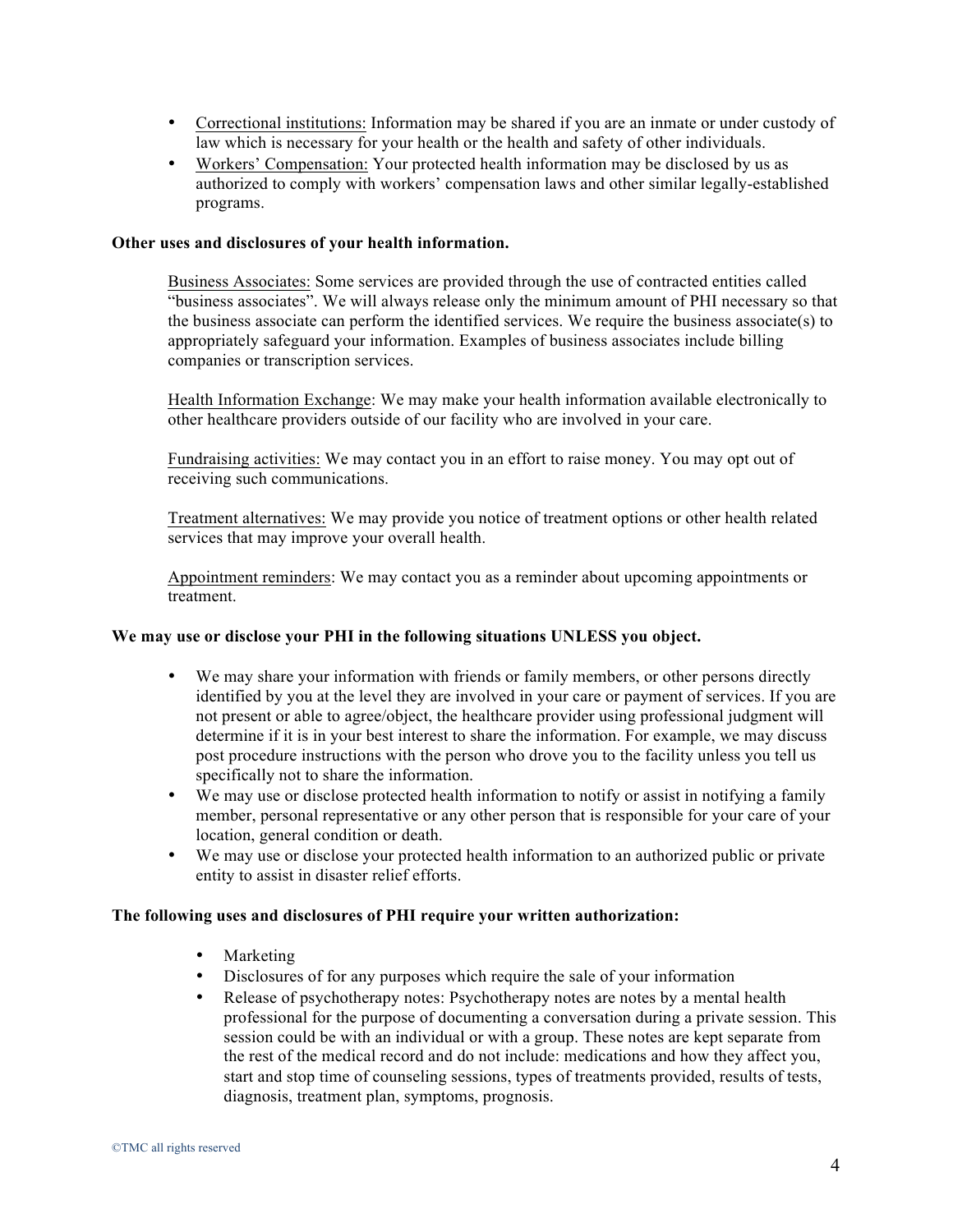- Correctional institutions: Information may be shared if you are an inmate or under custody of law which is necessary for your health or the health and safety of other individuals.
- Workers' Compensation: Your protected health information may be disclosed by us as authorized to comply with workers' compensation laws and other similar legally-established programs.

### **Other uses and disclosures of your health information.**

Business Associates: Some services are provided through the use of contracted entities called "business associates". We will always release only the minimum amount of PHI necessary so that the business associate can perform the identified services. We require the business associate(s) to appropriately safeguard your information. Examples of business associates include billing companies or transcription services.

Health Information Exchange: We may make your health information available electronically to other healthcare providers outside of our facility who are involved in your care.

Fundraising activities: We may contact you in an effort to raise money. You may opt out of receiving such communications.

Treatment alternatives: We may provide you notice of treatment options or other health related services that may improve your overall health.

Appointment reminders: We may contact you as a reminder about upcoming appointments or treatment.

### **We may use or disclose your PHI in the following situations UNLESS you object.**

- We may share your information with friends or family members, or other persons directly identified by you at the level they are involved in your care or payment of services. If you are not present or able to agree/object, the healthcare provider using professional judgment will determine if it is in your best interest to share the information. For example, we may discuss post procedure instructions with the person who drove you to the facility unless you tell us specifically not to share the information.
- We may use or disclose protected health information to notify or assist in notifying a family member, personal representative or any other person that is responsible for your care of your location, general condition or death.
- We may use or disclose your protected health information to an authorized public or private entity to assist in disaster relief efforts.

### **The following uses and disclosures of PHI require your written authorization:**

- Marketing
- Disclosures of for any purposes which require the sale of your information
- Release of psychotherapy notes: Psychotherapy notes are notes by a mental health professional for the purpose of documenting a conversation during a private session. This session could be with an individual or with a group. These notes are kept separate from the rest of the medical record and do not include: medications and how they affect you, start and stop time of counseling sessions, types of treatments provided, results of tests, diagnosis, treatment plan, symptoms, prognosis.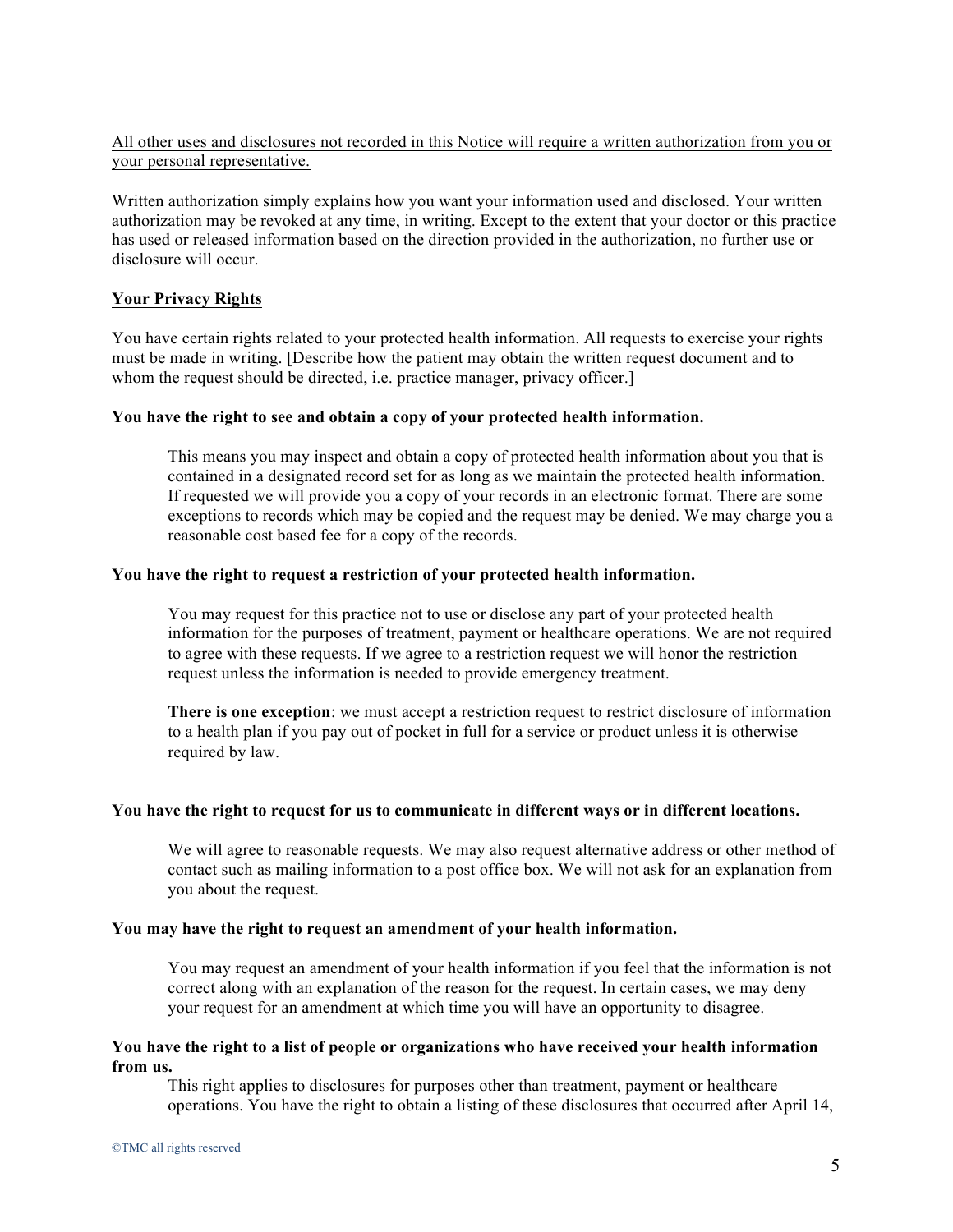# All other uses and disclosures not recorded in this Notice will require a written authorization from you or your personal representative.

Written authorization simply explains how you want your information used and disclosed. Your written authorization may be revoked at any time, in writing. Except to the extent that your doctor or this practice has used or released information based on the direction provided in the authorization, no further use or disclosure will occur.

# **Your Privacy Rights**

You have certain rights related to your protected health information. All requests to exercise your rights must be made in writing. [Describe how the patient may obtain the written request document and to whom the request should be directed, i.e. practice manager, privacy officer.

### **You have the right to see and obtain a copy of your protected health information.**

This means you may inspect and obtain a copy of protected health information about you that is contained in a designated record set for as long as we maintain the protected health information. If requested we will provide you a copy of your records in an electronic format. There are some exceptions to records which may be copied and the request may be denied. We may charge you a reasonable cost based fee for a copy of the records.

### **You have the right to request a restriction of your protected health information.**

You may request for this practice not to use or disclose any part of your protected health information for the purposes of treatment, payment or healthcare operations. We are not required to agree with these requests. If we agree to a restriction request we will honor the restriction request unless the information is needed to provide emergency treatment.

**There is one exception**: we must accept a restriction request to restrict disclosure of information to a health plan if you pay out of pocket in full for a service or product unless it is otherwise required by law.

#### **You have the right to request for us to communicate in different ways or in different locations.**

We will agree to reasonable requests. We may also request alternative address or other method of contact such as mailing information to a post office box. We will not ask for an explanation from you about the request.

### **You may have the right to request an amendment of your health information.**

You may request an amendment of your health information if you feel that the information is not correct along with an explanation of the reason for the request. In certain cases, we may deny your request for an amendment at which time you will have an opportunity to disagree.

### **You have the right to a list of people or organizations who have received your health information from us.**

This right applies to disclosures for purposes other than treatment, payment or healthcare operations. You have the right to obtain a listing of these disclosures that occurred after April 14,